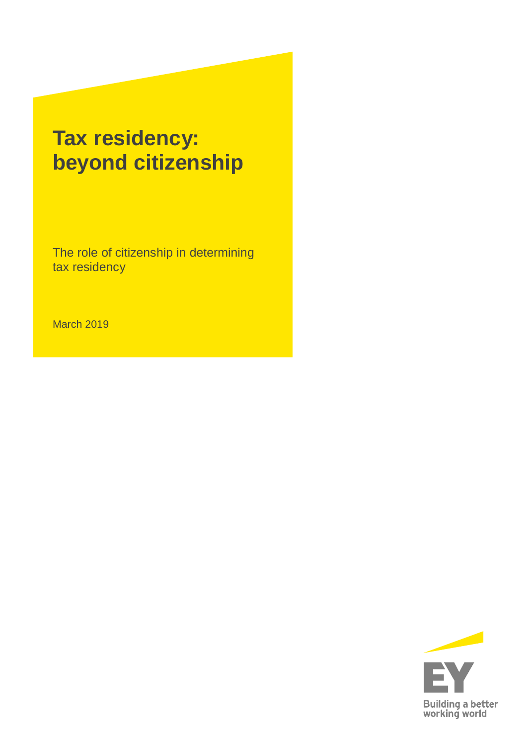# **Tax residency: beyond citizenship**

The role of citizenship in determining tax residency

March 2019

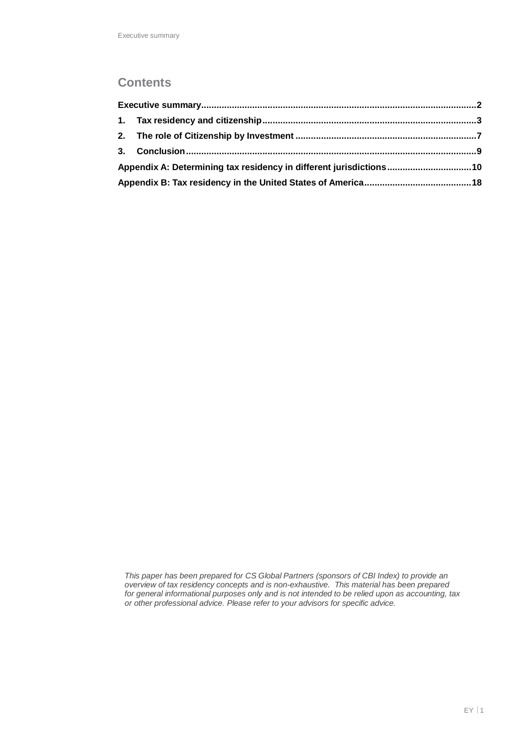### **Contents**

| Appendix A: Determining tax residency in different jurisdictions10 |  |
|--------------------------------------------------------------------|--|
|                                                                    |  |

*This paper has been prepared for CS Global Partners (sponsors of CBI Index) to provide an overview of tax residency concepts and is non-exhaustive. This material has been prepared for general informational purposes only and is not intended to be relied upon as accounting, tax or other professional advice. Please refer to your advisors for specific advice.*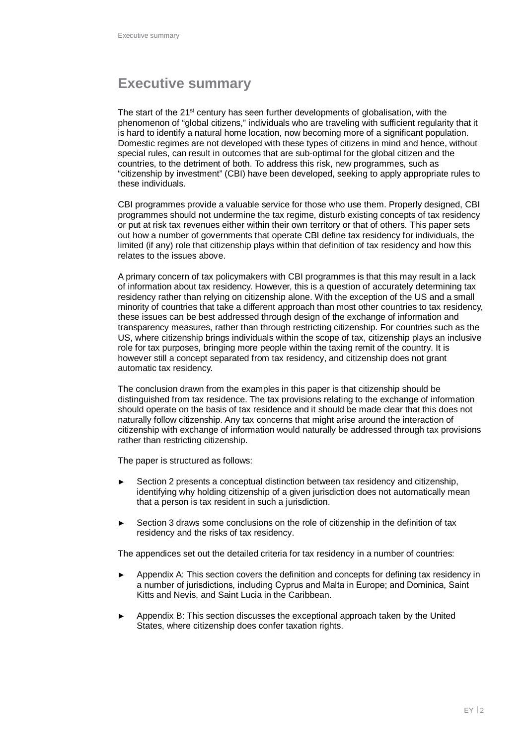# **Executive summary**

The start of the  $21^{st}$  century has seen further developments of globalisation, with the phenomenon of "global citizens," individuals who are traveling with sufficient regularity that it is hard to identify a natural home location, now becoming more of a significant population. Domestic regimes are not developed with these types of citizens in mind and hence, without special rules, can result in outcomes that are sub-optimal for the global citizen and the countries, to the detriment of both. To address this risk, new programmes, such as "citizenship by investment" (CBI) have been developed, seeking to apply appropriate rules to these individuals.

CBI programmes provide a valuable service for those who use them. Properly designed, CBI programmes should not undermine the tax regime, disturb existing concepts of tax residency or put at risk tax revenues either within their own territory or that of others. This paper sets out how a number of governments that operate CBI define tax residency for individuals, the limited (if any) role that citizenship plays within that definition of tax residency and how this relates to the issues above.

A primary concern of tax policymakers with CBI programmes is that this may result in a lack of information about tax residency. However, this is a question of accurately determining tax residency rather than relying on citizenship alone. With the exception of the US and a small minority of countries that take a different approach than most other countries to tax residency, these issues can be best addressed through design of the exchange of information and transparency measures, rather than through restricting citizenship. For countries such as the US, where citizenship brings individuals within the scope of tax, citizenship plays an inclusive role for tax purposes, bringing more people within the taxing remit of the country. It is however still a concept separated from tax residency, and citizenship does not grant automatic tax residency.

The conclusion drawn from the examples in this paper is that citizenship should be distinguished from tax residence. The tax provisions relating to the exchange of information should operate on the basis of tax residence and it should be made clear that this does not naturally follow citizenship. Any tax concerns that might arise around the interaction of citizenship with exchange of information would naturally be addressed through tax provisions rather than restricting citizenship.

The paper is structured as follows:

- Section 2 presents a conceptual distinction between tax residency and citizenship, identifying why holding citizenship of a given jurisdiction does not automatically mean that a person is tax resident in such a jurisdiction.
- Section 3 draws some conclusions on the role of citizenship in the definition of tax residency and the risks of tax residency.

The appendices set out the detailed criteria for tax residency in a number of countries:

- Appendix A: This section covers the definition and concepts for defining tax residency in a number of jurisdictions, including Cyprus and Malta in Europe; and Dominica, Saint Kitts and Nevis, and Saint Lucia in the Caribbean.
- Appendix B: This section discusses the exceptional approach taken by the United States, where citizenship does confer taxation rights.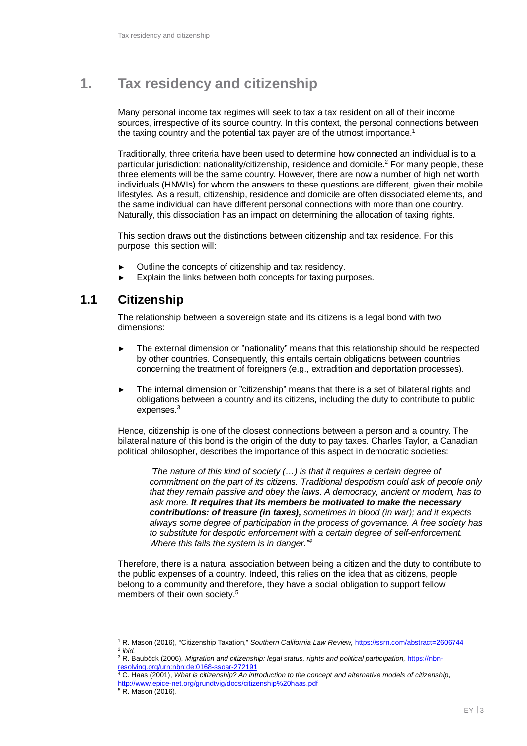# **1. Tax residency and citizenship**

Many personal income tax regimes will seek to tax a tax resident on all of their income sources, irrespective of its source country. In this context, the personal connections between the taxing country and the potential tax payer are of the utmost importance.<sup>1</sup>

Traditionally, three criteria have been used to determine how connected an individual is to a particular jurisdiction: nationality/citizenship, residence and domicile.<sup>2</sup> For many people, these three elements will be the same country. However, there are now a number of high net worth individuals (HNWIs) for whom the answers to these questions are different, given their mobile lifestyles. As a result, citizenship, residence and domicile are often dissociated elements, and the same individual can have different personal connections with more than one country. Naturally, this dissociation has an impact on determining the allocation of taxing rights.

This section draws out the distinctions between citizenship and tax residence. For this purpose, this section will:

- Outline the concepts of citizenship and tax residency.
- Explain the links between both concepts for taxing purposes.

### **1.1 Citizenship**

The relationship between a sovereign state and its citizens is a legal bond with two dimensions:

- The external dimension or "nationality" means that this relationship should be respected by other countries. Consequently, this entails certain obligations between countries concerning the treatment of foreigners (e.g., extradition and deportation processes).
- The internal dimension or "citizenship" means that there is a set of bilateral rights and obligations between a country and its citizens, including the duty to contribute to public expenses.<sup>3</sup>

Hence, citizenship is one of the closest connections between a person and a country. The bilateral nature of this bond is the origin of the duty to pay taxes. Charles Taylor, a Canadian political philosopher, describes the importance of this aspect in democratic societies:

*"The nature of this kind of society (…) is that it requires a certain degree of commitment on the part of its citizens. Traditional despotism could ask of people only that they remain passive and obey the laws. A democracy, ancient or modern, has to ask more. It requires that its members be motivated to make the necessary contributions: of treasure (in taxes), sometimes in blood (in war); and it expects always some degree of participation in the process of governance. A free society has to substitute for despotic enforcement with a certain degree of self-enforcement. Where this fails the system is in danger."<sup>4</sup>*

Therefore, there is a natural association between being a citizen and the duty to contribute to the public expenses of a country. Indeed, this relies on the idea that as citizens, people belong to a community and therefore, they have a social obligation to support fellow members of their own society.<sup>5</sup>

<sup>1</sup> R. Mason (2016), "Citizenship Taxation," *Southern California Law Review,* https://ssrn.com/abstract=2606744 2 *ibid.*

<sup>3</sup> R. Bauböck (2006), *Migration and citizenship: legal status, rights and political participation,* https://nbnresolving.org/urn:nbn:de:0168-ssoar-272191 4 C. Haas (2001), *What is citizenship? An introduction to the concept and alternative models of citizenship*,

http://www.epice-net.org/grundtvig/docs/citizenship%20haas.pdf

<sup>&</sup>lt;sup>5</sup> R. Mason (2016).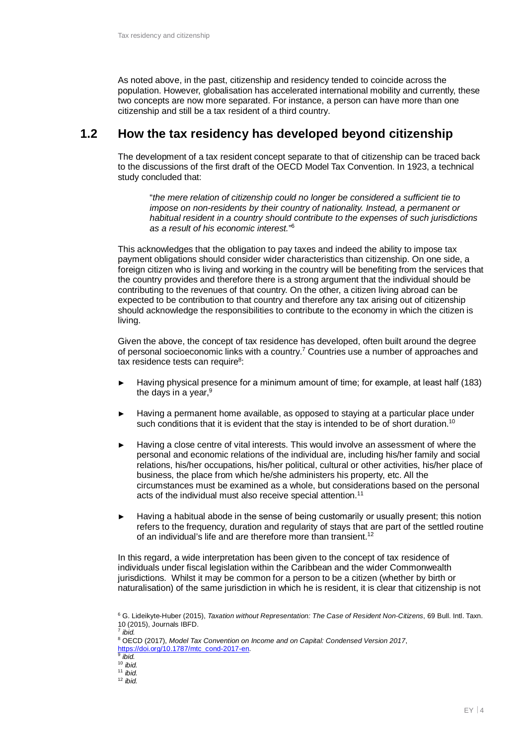As noted above, in the past, citizenship and residency tended to coincide across the population. However, globalisation has accelerated international mobility and currently, these two concepts are now more separated. For instance, a person can have more than one citizenship and still be a tax resident of a third country.

### **1.2 How the tax residency has developed beyond citizenship**

The development of a tax resident concept separate to that of citizenship can be traced back to the discussions of the first draft of the OECD Model Tax Convention. In 1923, a technical study concluded that:

"*the mere relation of citizenship could no longer be considered a sufficient tie to impose on non-residents by their country of nationality. Instead, a permanent or habitual resident in a country should contribute to the expenses of such jurisdictions as a result of his economic interest.*" 6

This acknowledges that the obligation to pay taxes and indeed the ability to impose tax payment obligations should consider wider characteristics than citizenship. On one side, a foreign citizen who is living and working in the country will be benefiting from the services that the country provides and therefore there is a strong argument that the individual should be contributing to the revenues of that country. On the other, a citizen living abroad can be expected to be contribution to that country and therefore any tax arising out of citizenship should acknowledge the responsibilities to contribute to the economy in which the citizen is living.

Given the above, the concept of tax residence has developed, often built around the degree of personal socioeconomic links with a country.<sup>7</sup> Countries use a number of approaches and tax residence tests can require<sup>8</sup>:

- Having physical presence for a minimum amount of time; for example, at least half (183) the days in a year, $9$
- Having a permanent home available, as opposed to staying at a particular place under such conditions that it is evident that the stay is intended to be of short duration.<sup>10</sup>
- Having a close centre of vital interests. This would involve an assessment of where the personal and economic relations of the individual are, including his/her family and social relations, his/her occupations, his/her political, cultural or other activities, his/her place of business, the place from which he/she administers his property, etc. All the circumstances must be examined as a whole, but considerations based on the personal acts of the individual must also receive special attention.<sup>11</sup>
- Having a habitual abode in the sense of being customarily or usually present; this notion refers to the frequency, duration and regularity of stays that are part of the settled routine of an individual's life and are therefore more than transient.<sup>12</sup>

In this regard, a wide interpretation has been given to the concept of tax residence of individuals under fiscal legislation within the Caribbean and the wider Commonwealth jurisdictions. Whilst it may be common for a person to be a citizen (whether by birth or naturalisation) of the same jurisdiction in which he is resident, it is clear that citizenship is not

<sup>6</sup> G. Lideikyte-Huber (2015), *Taxation without Representation: The Case of Resident Non-Citizens*, 69 Bull. Intl. Taxn. 10 (2015), Journals IBFD. 7 *ibid.*

<sup>8</sup> OECD (2017), *Model Tax Convention on Income and on Capital: Condensed Version 2017*, https://doi.org/10.1787/mtc\_cond-2017-en. 9 *ibid.* <sup>10</sup> *ibid.*

<sup>11</sup> *ibid.*

<sup>12</sup> *ibid.*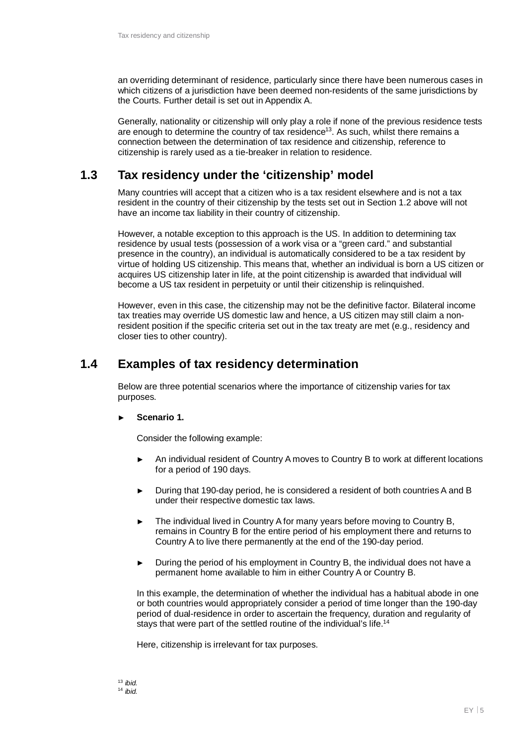an overriding determinant of residence, particularly since there have been numerous cases in which citizens of a jurisdiction have been deemed non-residents of the same jurisdictions by the Courts. Further detail is set out in Appendix A.

Generally, nationality or citizenship will only play a role if none of the previous residence tests are enough to determine the country of tax residence<sup>13</sup>. As such, whilst there remains a connection between the determination of tax residence and citizenship, reference to citizenship is rarely used as a tie-breaker in relation to residence.

### **1.3 Tax residency under the 'citizenship' model**

Many countries will accept that a citizen who is a tax resident elsewhere and is not a tax resident in the country of their citizenship by the tests set out in Section 1.2 above will not have an income tax liability in their country of citizenship.

However, a notable exception to this approach is the US. In addition to determining tax residence by usual tests (possession of a work visa or a "green card." and substantial presence in the country), an individual is automatically considered to be a tax resident by virtue of holding US citizenship. This means that, whether an individual is born a US citizen or acquires US citizenship later in life, at the point citizenship is awarded that individual will become a US tax resident in perpetuity or until their citizenship is relinquished.

However, even in this case, the citizenship may not be the definitive factor. Bilateral income tax treaties may override US domestic law and hence, a US citizen may still claim a nonresident position if the specific criteria set out in the tax treaty are met (e.g., residency and closer ties to other country).

### **1.4 Examples of tax residency determination**

Below are three potential scenarios where the importance of citizenship varies for tax purposes.

#### ► **Scenario 1.**

Consider the following example:

- An individual resident of Country A moves to Country B to work at different locations for a period of 190 days.
- ► During that 190-day period, he is considered a resident of both countries A and B under their respective domestic tax laws.
- ► The individual lived in Country A for many years before moving to Country B, remains in Country B for the entire period of his employment there and returns to Country A to live there permanently at the end of the 190-day period.
- ► During the period of his employment in Country B, the individual does not have a permanent home available to him in either Country A or Country B.

In this example, the determination of whether the individual has a habitual abode in one or both countries would appropriately consider a period of time longer than the 190-day period of dual-residence in order to ascertain the frequency, duration and regularity of stays that were part of the settled routine of the individual's life.<sup>14</sup>

Here, citizenship is irrelevant for tax purposes.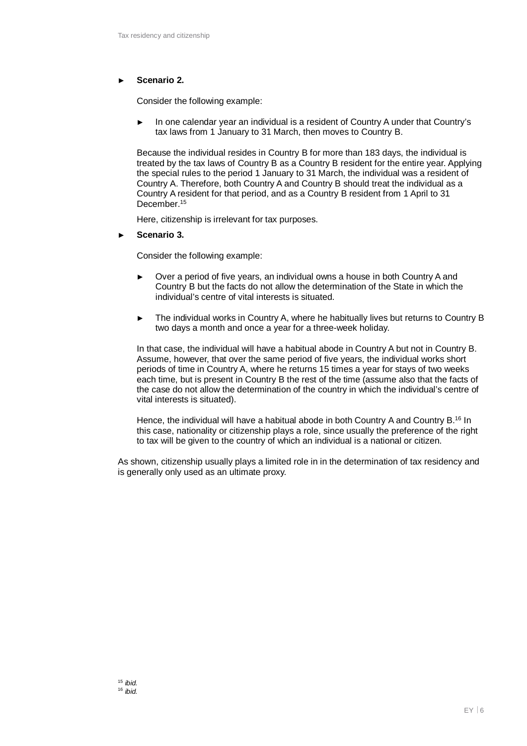#### ► **Scenario 2.**

Consider the following example:

► In one calendar year an individual is a resident of Country A under that Country's tax laws from 1 January to 31 March, then moves to Country B.

Because the individual resides in Country B for more than 183 days, the individual is treated by the tax laws of Country B as a Country B resident for the entire year. Applying the special rules to the period 1 January to 31 March, the individual was a resident of Country A. Therefore, both Country A and Country B should treat the individual as a Country A resident for that period, and as a Country B resident from 1 April to 31 December.<sup>15</sup>

Here, citizenship is irrelevant for tax purposes.

► **Scenario 3.**

Consider the following example:

- ► Over a period of five years, an individual owns a house in both Country A and Country B but the facts do not allow the determination of the State in which the individual's centre of vital interests is situated.
- ► The individual works in Country A, where he habitually lives but returns to Country B two days a month and once a year for a three-week holiday.

In that case, the individual will have a habitual abode in Country A but not in Country B. Assume, however, that over the same period of five years, the individual works short periods of time in Country A, where he returns 15 times a year for stays of two weeks each time, but is present in Country B the rest of the time (assume also that the facts of the case do not allow the determination of the country in which the individual's centre of vital interests is situated).

Hence, the individual will have a habitual abode in both Country A and Country B.<sup>16</sup> In this case, nationality or citizenship plays a role, since usually the preference of the right to tax will be given to the country of which an individual is a national or citizen.

As shown, citizenship usually plays a limited role in in the determination of tax residency and is generally only used as an ultimate proxy.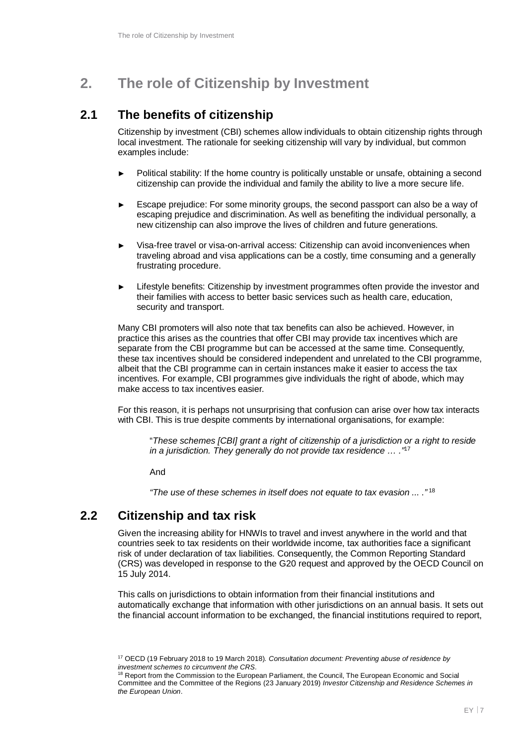# **2. The role of Citizenship by Investment**

### **2.1 The benefits of citizenship**

Citizenship by investment (CBI) schemes allow individuals to obtain citizenship rights through local investment. The rationale for seeking citizenship will vary by individual, but common examples include:

- Political stability: If the home country is politically unstable or unsafe, obtaining a second citizenship can provide the individual and family the ability to live a more secure life.
- Escape prejudice: For some minority groups, the second passport can also be a way of escaping prejudice and discrimination. As well as benefiting the individual personally, a new citizenship can also improve the lives of children and future generations.
- ► Visa-free travel or visa-on-arrival access: Citizenship can avoid inconveniences when traveling abroad and visa applications can be a costly, time consuming and a generally frustrating procedure.
- Lifestyle benefits: Citizenship by investment programmes often provide the investor and their families with access to better basic services such as health care, education, security and transport.

Many CBI promoters will also note that tax benefits can also be achieved. However, in practice this arises as the countries that offer CBI may provide tax incentives which are separate from the CBI programme but can be accessed at the same time. Consequently, these tax incentives should be considered independent and unrelated to the CBI programme, albeit that the CBI programme can in certain instances make it easier to access the tax incentives. For example, CBI programmes give individuals the right of abode, which may make access to tax incentives easier.

For this reason, it is perhaps not unsurprising that confusion can arise over how tax interacts with CBI. This is true despite comments by international organisations, for example:

"*These schemes [CBI] grant a right of citizenship of a jurisdiction or a right to reside in a jurisdiction. They generally do not provide tax residence … ."*<sup>17</sup>

And

*"The use of these schemes in itself does not equate to tax evasion ... ."*<sup>18</sup>

### **2.2 Citizenship and tax risk**

Given the increasing ability for HNWIs to travel and invest anywhere in the world and that countries seek to tax residents on their worldwide income, tax authorities face a significant risk of under declaration of tax liabilities. Consequently, the Common Reporting Standard (CRS) was developed in response to the G20 request and approved by the OECD Council on 15 July 2014.

This calls on jurisdictions to obtain information from their financial institutions and automatically exchange that information with other jurisdictions on an annual basis. It sets out the financial account information to be exchanged, the financial institutions required to report,

<sup>17</sup> OECD (19 February 2018 to 19 March 2018)*. Consultation document: Preventing abuse of residence by investment schemes to circumvent the CRS.*

<sup>18</sup> Report from the Commission to the European Parliament, the Council, The European Economic and Social Committee and the Committee of the Regions (23 January 2019) *Investor Citizenship and Residence Schemes in the European Union*.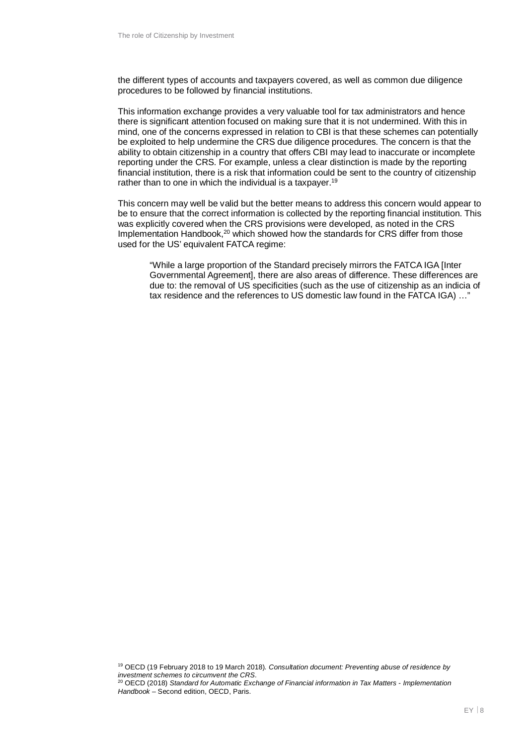the different types of accounts and taxpayers covered, as well as common due diligence procedures to be followed by financial institutions.

This information exchange provides a very valuable tool for tax administrators and hence there is significant attention focused on making sure that it is not undermined. With this in mind, one of the concerns expressed in relation to CBI is that these schemes can potentially be exploited to help undermine the CRS due diligence procedures. The concern is that the ability to obtain citizenship in a country that offers CBI may lead to inaccurate or incomplete reporting under the CRS. For example, unless a clear distinction is made by the reporting financial institution, there is a risk that information could be sent to the country of citizenship rather than to one in which the individual is a taxpayer.<sup>19</sup>

This concern may well be valid but the better means to address this concern would appear to be to ensure that the correct information is collected by the reporting financial institution. This was explicitly covered when the CRS provisions were developed, as noted in the CRS Implementation Handbook, $20$  which showed how the standards for CRS differ from those used for the US' equivalent FATCA regime:

"While a large proportion of the Standard precisely mirrors the FATCA IGA [Inter Governmental Agreement], there are also areas of difference. These differences are due to: the removal of US specificities (such as the use of citizenship as an indicia of tax residence and the references to US domestic law found in the FATCA IGA) …"

<sup>19</sup> OECD (19 February 2018 to 19 March 2018)*. Consultation document: Preventing abuse of residence by investment schemes to circumvent the CRS.*

<sup>20</sup> OECD (2018) *Standard for Automatic Exchange of Financial information in Tax Matters - Implementation Handbook* – Second edition, OECD, Paris.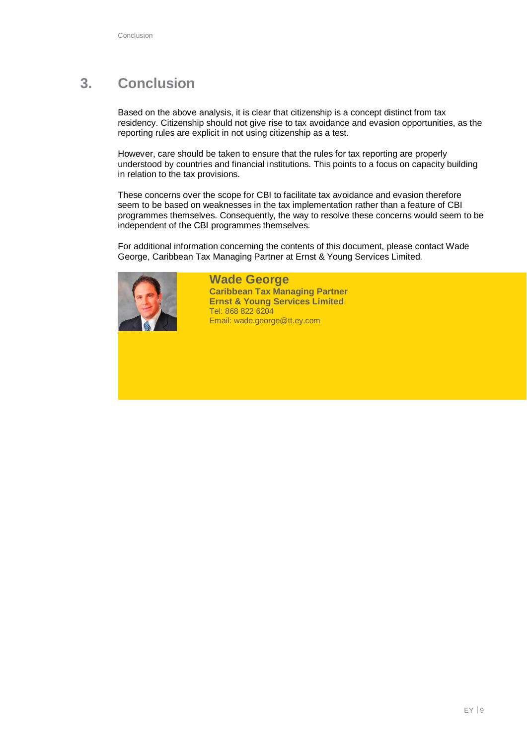# **3. Conclusion**

Based on the above analysis, it is clear that citizenship is a concept distinct from tax residency. Citizenship should not give rise to tax avoidance and evasion opportunities, as the reporting rules are explicit in not using citizenship as a test.

However, care should be taken to ensure that the rules for tax reporting are properly understood by countries and financial institutions. This points to a focus on capacity building in relation to the tax provisions.

These concerns over the scope for CBI to facilitate tax avoidance and evasion therefore seem to be based on weaknesses in the tax implementation rather than a feature of CBI programmes themselves. Consequently, the way to resolve these concerns would seem to be independent of the CBI programmes themselves.

For additional information concerning the contents of this document, please contact Wade George, Caribbean Tax Managing Partner at Ernst & Young Services Limited.



**Wade George Caribbean Tax Managing Partner Ernst & Young Services Limited** Tel: 868 822 6204 Email: wade.george@tt.ey.com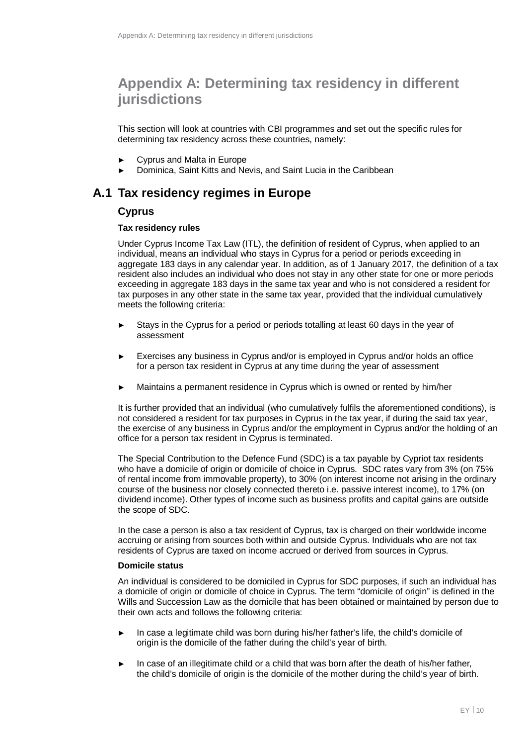# **Appendix A: Determining tax residency in different jurisdictions**

This section will look at countries with CBI programmes and set out the specific rules for determining tax residency across these countries, namely:

- ► Cyprus and Malta in Europe
- Dominica, Saint Kitts and Nevis, and Saint Lucia in the Caribbean

### **A.1 Tax residency regimes in Europe**

#### **Cyprus**

#### **Tax residency rules**

Under Cyprus Income Tax Law (ITL), the definition of resident of Cyprus, when applied to an individual, means an individual who stays in Cyprus for a period or periods exceeding in aggregate 183 days in any calendar year. In addition, as of 1 January 2017, the definition of a tax resident also includes an individual who does not stay in any other state for one or more periods exceeding in aggregate 183 days in the same tax year and who is not considered a resident for tax purposes in any other state in the same tax year, provided that the individual cumulatively meets the following criteria:

- Stays in the Cyprus for a period or periods totalling at least 60 days in the year of assessment
- Exercises any business in Cyprus and/or is employed in Cyprus and/or holds an office for a person tax resident in Cyprus at any time during the year of assessment
- Maintains a permanent residence in Cyprus which is owned or rented by him/her

It is further provided that an individual (who cumulatively fulfils the aforementioned conditions), is not considered a resident for tax purposes in Cyprus in the tax year, if during the said tax year, the exercise of any business in Cyprus and/or the employment in Cyprus and/or the holding of an office for a person tax resident in Cyprus is terminated.

The Special Contribution to the Defence Fund (SDC) is a tax payable by Cypriot tax residents who have a domicile of origin or domicile of choice in Cyprus. SDC rates vary from 3% (on 75% of rental income from immovable property), to 30% (on interest income not arising in the ordinary course of the business nor closely connected thereto i.e. passive interest income), to 17% (on dividend income). Other types of income such as business profits and capital gains are outside the scope of SDC.

In the case a person is also a tax resident of Cyprus, tax is charged on their worldwide income accruing or arising from sources both within and outside Cyprus. Individuals who are not tax residents of Cyprus are taxed on income accrued or derived from sources in Cyprus.

#### **Domicile status**

An individual is considered to be domiciled in Cyprus for SDC purposes, if such an individual has a domicile of origin or domicile of choice in Cyprus. The term "domicile of origin" is defined in the Wills and Succession Law as the domicile that has been obtained or maintained by person due to their own acts and follows the following criteria:

- In case a legitimate child was born during his/her father's life, the child's domicile of origin is the domicile of the father during the child's year of birth.
- In case of an illegitimate child or a child that was born after the death of his/her father, the child's domicile of origin is the domicile of the mother during the child's year of birth.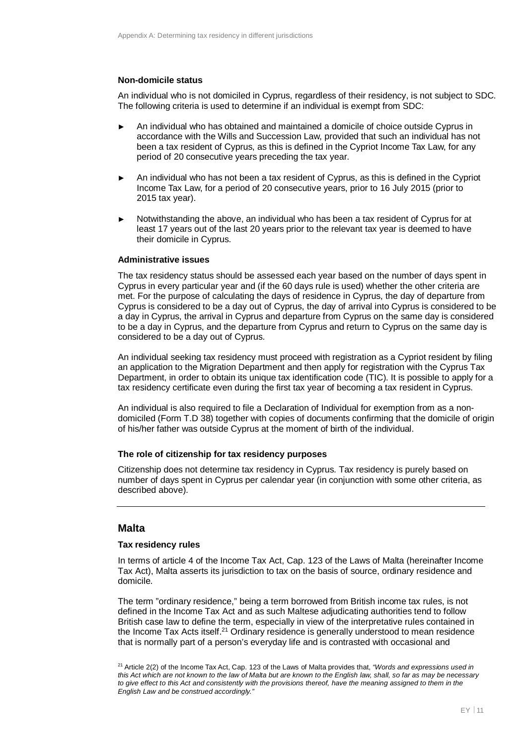#### **Non-domicile status**

An individual who is not domiciled in Cyprus, regardless of their residency, is not subject to SDC. The following criteria is used to determine if an individual is exempt from SDC:

- An individual who has obtained and maintained a domicile of choice outside Cyprus in accordance with the Wills and Succession Law, provided that such an individual has not been a tax resident of Cyprus, as this is defined in the Cypriot Income Tax Law, for any period of 20 consecutive years preceding the tax year.
- An individual who has not been a tax resident of Cyprus, as this is defined in the Cypriot Income Tax Law, for a period of 20 consecutive years, prior to 16 July 2015 (prior to 2015 tax year).
- Notwithstanding the above, an individual who has been a tax resident of Cyprus for at least 17 years out of the last 20 years prior to the relevant tax year is deemed to have their domicile in Cyprus.

#### **Administrative issues**

The tax residency status should be assessed each year based on the number of days spent in Cyprus in every particular year and (if the 60 days rule is used) whether the other criteria are met. For the purpose of calculating the days of residence in Cyprus, the day of departure from Cyprus is considered to be a day out of Cyprus, the day of arrival into Cyprus is considered to be a day in Cyprus, the arrival in Cyprus and departure from Cyprus on the same day is considered to be a day in Cyprus, and the departure from Cyprus and return to Cyprus on the same day is considered to be a day out of Cyprus.

An individual seeking tax residency must proceed with registration as a Cypriot resident by filing an application to the Migration Department and then apply for registration with the Cyprus Tax Department, in order to obtain its unique tax identification code (TIC). It is possible to apply for a tax residency certificate even during the first tax year of becoming a tax resident in Cyprus.

An individual is also required to file a Declaration of Individual for exemption from as a nondomiciled (Form T.D 38) together with copies of documents confirming that the domicile of origin of his/her father was outside Cyprus at the moment of birth of the individual.

#### **The role of citizenship for tax residency purposes**

Citizenship does not determine tax residency in Cyprus. Tax residency is purely based on number of days spent in Cyprus per calendar year (in conjunction with some other criteria, as described above).

#### **Malta**

#### **Tax residency rules**

In terms of article 4 of the Income Tax Act, Cap. 123 of the Laws of Malta (hereinafter Income Tax Act), Malta asserts its jurisdiction to tax on the basis of source, ordinary residence and domicile.

The term "ordinary residence," being a term borrowed from British income tax rules, is not defined in the Income Tax Act and as such Maltese adjudicating authorities tend to follow British case law to define the term, especially in view of the interpretative rules contained in the Income Tax Acts itself.<sup>21</sup> Ordinary residence is generally understood to mean residence that is normally part of a person's everyday life and is contrasted with occasional and

<sup>21</sup> Article 2(2) of the Income Tax Act, Cap. 123 of the Laws of Malta provides that, *"Words and expressions used in this Act which are not known to the law of Malta but are known to the English law, shall, so far as may be necessary to give effect to this Act and consistently with the provisions thereof, have the meaning assigned to them in the English Law and be construed accordingly."*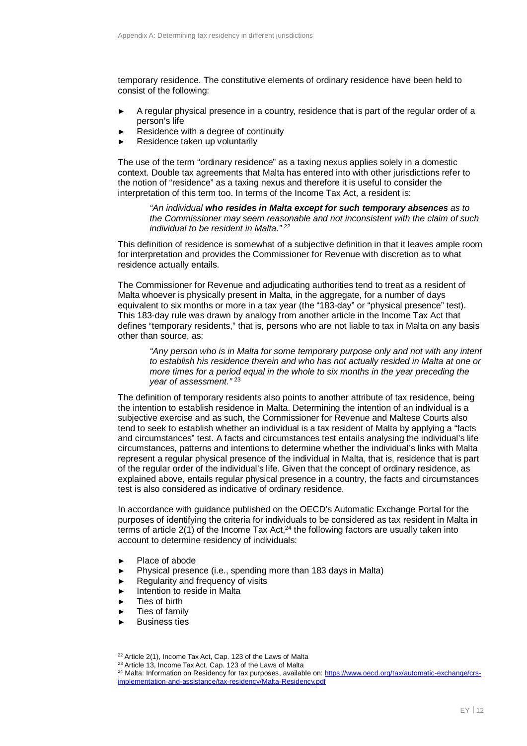temporary residence. The constitutive elements of ordinary residence have been held to consist of the following:

- A regular physical presence in a country, residence that is part of the regular order of a person's life
- Residence with a degree of continuity
- Residence taken up voluntarily

The use of the term "ordinary residence" as a taxing nexus applies solely in a domestic context. Double tax agreements that Malta has entered into with other jurisdictions refer to the notion of "residence" as a taxing nexus and therefore it is useful to consider the interpretation of this term too. In terms of the Income Tax Act, a resident is:

*"An individual who resides in Malta except for such temporary absences as to the Commissioner may seem reasonable and not inconsistent with the claim of such individual to be resident in Malta."* <sup>22</sup>

This definition of residence is somewhat of a subjective definition in that it leaves ample room for interpretation and provides the Commissioner for Revenue with discretion as to what residence actually entails.

The Commissioner for Revenue and adjudicating authorities tend to treat as a resident of Malta whoever is physically present in Malta, in the aggregate, for a number of days equivalent to six months or more in a tax year (the "183-day" or "physical presence" test). This 183-day rule was drawn by analogy from another article in the Income Tax Act that defines "temporary residents," that is, persons who are not liable to tax in Malta on any basis other than source, as:

*"Any person who is in Malta for some temporary purpose only and not with any intent to establish his residence therein and who has not actually resided in Malta at one or more times for a period equal in the whole to six months in the year preceding the year of assessment."* <sup>23</sup>

The definition of temporary residents also points to another attribute of tax residence, being the intention to establish residence in Malta. Determining the intention of an individual is a subjective exercise and as such, the Commissioner for Revenue and Maltese Courts also tend to seek to establish whether an individual is a tax resident of Malta by applying a "facts and circumstances" test. A facts and circumstances test entails analysing the individual's life circumstances, patterns and intentions to determine whether the individual's links with Malta represent a regular physical presence of the individual in Malta, that is, residence that is part of the regular order of the individual's life. Given that the concept of ordinary residence, as explained above, entails regular physical presence in a country, the facts and circumstances test is also considered as indicative of ordinary residence.

In accordance with guidance published on the OECD's Automatic Exchange Portal for the purposes of identifying the criteria for individuals to be considered as tax resident in Malta in terms of article  $2(1)$  of the Income Tax Act,<sup>24</sup> the following factors are usually taken into account to determine residency of individuals:

- ► Place of abode
- ► Physical presence (i.e., spending more than 183 days in Malta)
- ► Regularity and frequency of visits
- ► Intention to reside in Malta
- ► Ties of birth
- Ties of family
- **Business ties**

<sup>&</sup>lt;sup>22</sup> Article 2(1), Income Tax Act, Cap. 123 of the Laws of Malta

<sup>&</sup>lt;sup>23</sup> Article 13, Income Tax Act, Cap. 123 of the Laws of Malta

<sup>&</sup>lt;sup>24</sup> Malta: Information on Residency for tax purposes, available on: https://www.oecd.org/tax/automatic-exchange/crsimplementation-and-assistance/tax-residency/Malta-Residency.pdf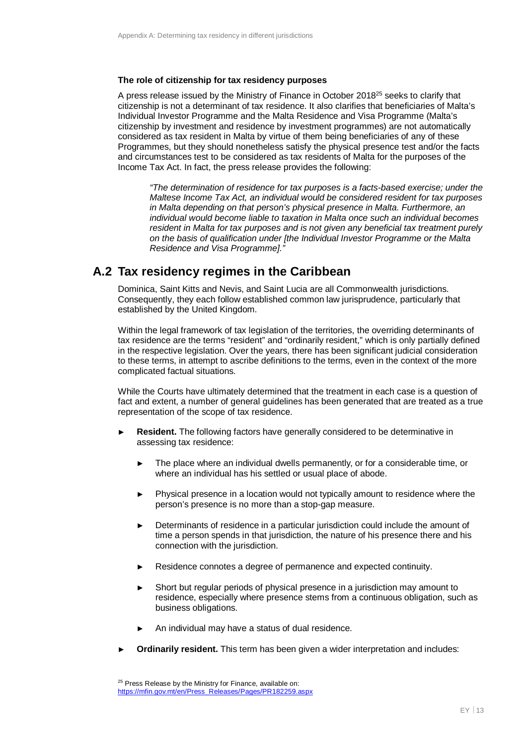#### **The role of citizenship for tax residency purposes**

A press release issued by the Ministry of Finance in October 2018 $^{25}$  seeks to clarify that citizenship is not a determinant of tax residence. It also clarifies that beneficiaries of Malta's Individual Investor Programme and the Malta Residence and Visa Programme (Malta's citizenship by investment and residence by investment programmes) are not automatically considered as tax resident in Malta by virtue of them being beneficiaries of any of these Programmes, but they should nonetheless satisfy the physical presence test and/or the facts and circumstances test to be considered as tax residents of Malta for the purposes of the Income Tax Act. In fact, the press release provides the following:

*"The determination of residence for tax purposes is a facts-based exercise; under the Maltese Income Tax Act, an individual would be considered resident for tax purposes in Malta depending on that person's physical presence in Malta. Furthermore, an individual would become liable to taxation in Malta once such an individual becomes resident in Malta for tax purposes and is not given any beneficial tax treatment purely on the basis of qualification under [the Individual Investor Programme or the Malta Residence and Visa Programme]."*

### **A.2 Tax residency regimes in the Caribbean**

Dominica, Saint Kitts and Nevis, and Saint Lucia are all Commonwealth jurisdictions. Consequently, they each follow established common law jurisprudence, particularly that established by the United Kingdom.

Within the legal framework of tax legislation of the territories, the overriding determinants of tax residence are the terms "resident" and "ordinarily resident," which is only partially defined in the respective legislation. Over the years, there has been significant judicial consideration to these terms, in attempt to ascribe definitions to the terms, even in the context of the more complicated factual situations.

While the Courts have ultimately determined that the treatment in each case is a question of fact and extent, a number of general guidelines has been generated that are treated as a true representation of the scope of tax residence.

- **Resident.** The following factors have generally considered to be determinative in assessing tax residence:
	- ► The place where an individual dwells permanently, or for a considerable time, or where an individual has his settled or usual place of abode.
	- ► Physical presence in a location would not typically amount to residence where the person's presence is no more than a stop-gap measure.
	- Determinants of residence in a particular jurisdiction could include the amount of time a person spends in that jurisdiction, the nature of his presence there and his connection with the jurisdiction.
	- Residence connotes a degree of permanence and expected continuity.
	- Short but regular periods of physical presence in a jurisdiction may amount to residence, especially where presence stems from a continuous obligation, such as business obligations.
	- An individual may have a status of dual residence.
- **Ordinarily resident.** This term has been given a wider interpretation and includes: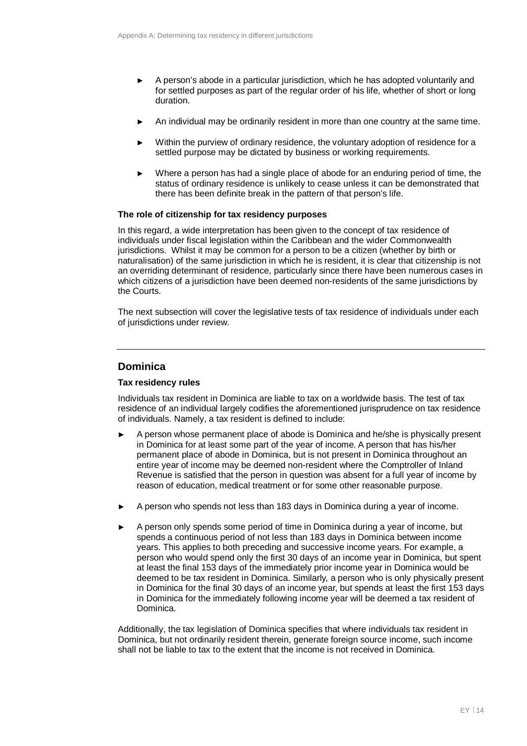- ► A person's abode in a particular jurisdiction, which he has adopted voluntarily and for settled purposes as part of the regular order of his life, whether of short or long duration.
- An individual may be ordinarily resident in more than one country at the same time.
- Within the purview of ordinary residence, the voluntary adoption of residence for a settled purpose may be dictated by business or working requirements.
- ► Where a person has had a single place of abode for an enduring period of time, the status of ordinary residence is unlikely to cease unless it can be demonstrated that there has been definite break in the pattern of that person's life.

#### **The role of citizenship for tax residency purposes**

In this regard, a wide interpretation has been given to the concept of tax residence of individuals under fiscal legislation within the Caribbean and the wider Commonwealth jurisdictions. Whilst it may be common for a person to be a citizen (whether by birth or naturalisation) of the same jurisdiction in which he is resident, it is clear that citizenship is not an overriding determinant of residence, particularly since there have been numerous cases in which citizens of a jurisdiction have been deemed non-residents of the same jurisdictions by the Courts.

The next subsection will cover the legislative tests of tax residence of individuals under each of jurisdictions under review.

### **Dominica**

#### **Tax residency rules**

Individuals tax resident in Dominica are liable to tax on a worldwide basis. The test of tax residence of an individual largely codifies the aforementioned jurisprudence on tax residence of individuals. Namely, a tax resident is defined to include:

- A person whose permanent place of abode is Dominica and he/she is physically present in Dominica for at least some part of the year of income. A person that has his/her permanent place of abode in Dominica, but is not present in Dominica throughout an entire year of income may be deemed non-resident where the Comptroller of Inland Revenue is satisfied that the person in question was absent for a full year of income by reason of education, medical treatment or for some other reasonable purpose.
- ► A person who spends not less than 183 days in Dominica during a year of income.
- ► A person only spends some period of time in Dominica during a year of income, but spends a continuous period of not less than 183 days in Dominica between income years. This applies to both preceding and successive income years. For example, a person who would spend only the first 30 days of an income year in Dominica, but spent at least the final 153 days of the immediately prior income year in Dominica would be deemed to be tax resident in Dominica. Similarly, a person who is only physically present in Dominica for the final 30 days of an income year, but spends at least the first 153 days in Dominica for the immediately following income year will be deemed a tax resident of Dominica.

Additionally, the tax legislation of Dominica specifies that where individuals tax resident in Dominica, but not ordinarily resident therein, generate foreign source income, such income shall not be liable to tax to the extent that the income is not received in Dominica.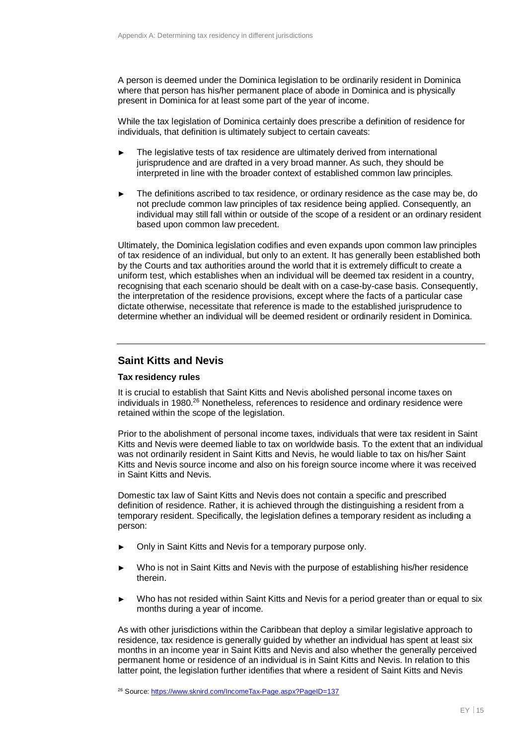A person is deemed under the Dominica legislation to be ordinarily resident in Dominica where that person has his/her permanent place of abode in Dominica and is physically present in Dominica for at least some part of the year of income.

While the tax legislation of Dominica certainly does prescribe a definition of residence for individuals, that definition is ultimately subject to certain caveats:

- The legislative tests of tax residence are ultimately derived from international jurisprudence and are drafted in a very broad manner. As such, they should be interpreted in line with the broader context of established common law principles.
- The definitions ascribed to tax residence, or ordinary residence as the case may be, do not preclude common law principles of tax residence being applied. Consequently, an individual may still fall within or outside of the scope of a resident or an ordinary resident based upon common law precedent.

Ultimately, the Dominica legislation codifies and even expands upon common law principles of tax residence of an individual, but only to an extent. It has generally been established both by the Courts and tax authorities around the world that it is extremely difficult to create a uniform test, which establishes when an individual will be deemed tax resident in a country, recognising that each scenario should be dealt with on a case-by-case basis. Consequently, the interpretation of the residence provisions, except where the facts of a particular case dictate otherwise, necessitate that reference is made to the established jurisprudence to determine whether an individual will be deemed resident or ordinarily resident in Dominica.

### **Saint Kitts and Nevis**

#### **Tax residency rules**

It is crucial to establish that Saint Kitts and Nevis abolished personal income taxes on individuals in 1980.<sup>26</sup> Nonetheless, references to residence and ordinary residence were retained within the scope of the legislation.

Prior to the abolishment of personal income taxes, individuals that were tax resident in Saint Kitts and Nevis were deemed liable to tax on worldwide basis. To the extent that an individual was not ordinarily resident in Saint Kitts and Nevis, he would liable to tax on his/her Saint Kitts and Nevis source income and also on his foreign source income where it was received in Saint Kitts and Nevis.

Domestic tax law of Saint Kitts and Nevis does not contain a specific and prescribed definition of residence. Rather, it is achieved through the distinguishing a resident from a temporary resident. Specifically, the legislation defines a temporary resident as including a person:

- Only in Saint Kitts and Nevis for a temporary purpose only.
- Who is not in Saint Kitts and Nevis with the purpose of establishing his/her residence therein.
- Who has not resided within Saint Kitts and Nevis for a period greater than or equal to six months during a year of income.

As with other jurisdictions within the Caribbean that deploy a similar legislative approach to residence, tax residence is generally guided by whether an individual has spent at least six months in an income year in Saint Kitts and Nevis and also whether the generally perceived permanent home or residence of an individual is in Saint Kitts and Nevis. In relation to this latter point, the legislation further identifies that where a resident of Saint Kitts and Nevis

<sup>26</sup> Source: https://www.sknird.com/IncomeTax-Page.aspx?PageID=137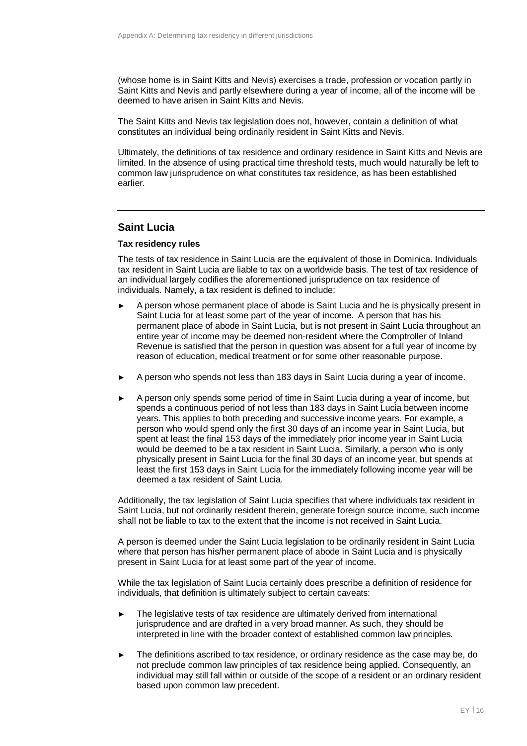(whose home is in Saint Kitts and Nevis) exercises a trade, profession or vocation partly in Saint Kitts and Nevis and partly elsewhere during a year of income, all of the income will be deemed to have arisen in Saint Kitts and Nevis.

The Saint Kitts and Nevis tax legislation does not, however, contain a definition of what constitutes an individual being ordinarily resident in Saint Kitts and Nevis.

Ultimately, the definitions of tax residence and ordinary residence in Saint Kitts and Nevis are limited. In the absence of using practical time threshold tests, much would naturally be left to common law jurisprudence on what constitutes tax residence, as has been established earlier.

#### **Saint Lucia**

#### **Tax residency rules**

The tests of tax residence in Saint Lucia are the equivalent of those in Dominica. Individuals tax resident in Saint Lucia are liable to tax on a worldwide basis. The test of tax residence of an individual largely codifies the aforementioned jurisprudence on tax residence of individuals. Namely, a tax resident is defined to include:

- ► A person whose permanent place of abode is Saint Lucia and he is physically present in Saint Lucia for at least some part of the year of income. A person that has his permanent place of abode in Saint Lucia, but is not present in Saint Lucia throughout an entire year of income may be deemed non-resident where the Comptroller of Inland Revenue is satisfied that the person in question was absent for a full year of income by reason of education, medical treatment or for some other reasonable purpose.
- A person who spends not less than 183 days in Saint Lucia during a year of income.
- A person only spends some period of time in Saint Lucia during a year of income, but spends a continuous period of not less than 183 days in Saint Lucia between income years. This applies to both preceding and successive income years. For example, a person who would spend only the first 30 days of an income year in Saint Lucia, but spent at least the final 153 days of the immediately prior income year in Saint Lucia would be deemed to be a tax resident in Saint Lucia. Similarly, a person who is only physically present in Saint Lucia for the final 30 days of an income year, but spends at least the first 153 days in Saint Lucia for the immediately following income year will be deemed a tax resident of Saint Lucia.

Additionally, the tax legislation of Saint Lucia specifies that where individuals tax resident in Saint Lucia, but not ordinarily resident therein, generate foreign source income, such income shall not be liable to tax to the extent that the income is not received in Saint Lucia.

A person is deemed under the Saint Lucia legislation to be ordinarily resident in Saint Lucia where that person has his/her permanent place of abode in Saint Lucia and is physically present in Saint Lucia for at least some part of the year of income.

While the tax legislation of Saint Lucia certainly does prescribe a definition of residence for individuals, that definition is ultimately subject to certain caveats:

- The legislative tests of tax residence are ultimately derived from international jurisprudence and are drafted in a very broad manner. As such, they should be interpreted in line with the broader context of established common law principles.
- The definitions ascribed to tax residence, or ordinary residence as the case may be, do not preclude common law principles of tax residence being applied. Consequently, an individual may still fall within or outside of the scope of a resident or an ordinary resident based upon common law precedent.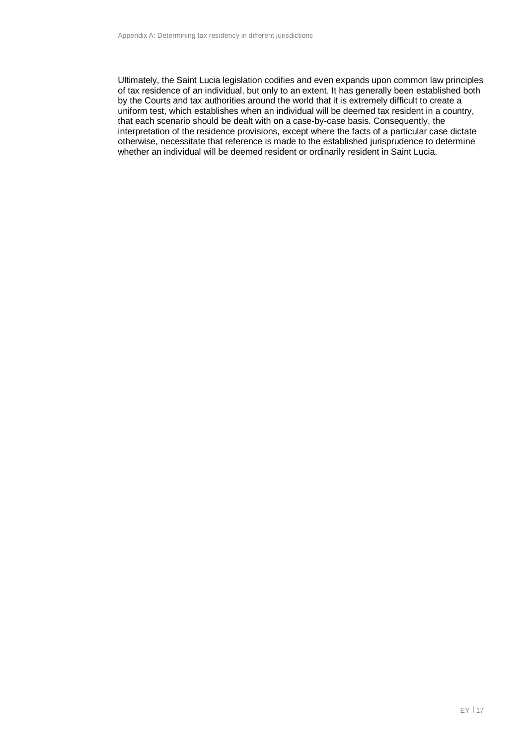Ultimately, the Saint Lucia legislation codifies and even expands upon common law principles of tax residence of an individual, but only to an extent. It has generally been established both by the Courts and tax authorities around the world that it is extremely difficult to create a uniform test, which establishes when an individual will be deemed tax resident in a country, that each scenario should be dealt with on a case-by-case basis. Consequently, the interpretation of the residence provisions, except where the facts of a particular case dictate otherwise, necessitate that reference is made to the established jurisprudence to determine whether an individual will be deemed resident or ordinarily resident in Saint Lucia.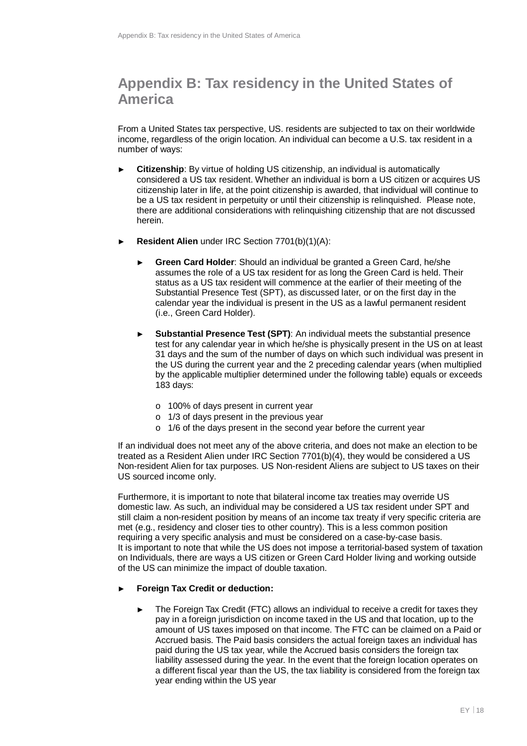# **Appendix B: Tax residency in the United States of America**

From a United States tax perspective, US. residents are subjected to tax on their worldwide income, regardless of the origin location. An individual can become a U.S. tax resident in a number of ways:

- ► **Citizenship**: By virtue of holding US citizenship, an individual is automatically considered a US tax resident. Whether an individual is born a US citizen or acquires US citizenship later in life, at the point citizenship is awarded, that individual will continue to be a US tax resident in perpetuity or until their citizenship is relinquished. Please note, there are additional considerations with relinquishing citizenship that are not discussed herein.
- **Resident Alien** under IRC Section 7701(b)(1)(A):
	- ► **Green Card Holder**: Should an individual be granted a Green Card, he/she assumes the role of a US tax resident for as long the Green Card is held. Their status as a US tax resident will commence at the earlier of their meeting of the Substantial Presence Test (SPT), as discussed later, or on the first day in the calendar year the individual is present in the US as a lawful permanent resident (i.e., Green Card Holder).
	- ► **Substantial Presence Test (SPT)**: An individual meets the substantial presence test for any calendar year in which he/she is physically present in the US on at least 31 days and the sum of the number of days on which such individual was present in the US during the current year and the 2 preceding calendar years (when multiplied by the applicable multiplier determined under the following table) equals or exceeds 183 days:
		- o 100% of days present in current year
		- o 1/3 of days present in the previous year
		- o 1/6 of the days present in the second year before the current year

If an individual does not meet any of the above criteria, and does not make an election to be treated as a Resident Alien under IRC Section 7701(b)(4), they would be considered a US Non-resident Alien for tax purposes. US Non-resident Aliens are subject to US taxes on their US sourced income only.

Furthermore, it is important to note that bilateral income tax treaties may override US domestic law. As such, an individual may be considered a US tax resident under SPT and still claim a non-resident position by means of an income tax treaty if very specific criteria are met (e.g., residency and closer ties to other country). This is a less common position requiring a very specific analysis and must be considered on a case-by-case basis. It is important to note that while the US does not impose a territorial-based system of taxation on Individuals, there are ways a US citizen or Green Card Holder living and working outside of the US can minimize the impact of double taxation.

#### ► **Foreign Tax Credit or deduction:**

The Foreign Tax Credit (FTC) allows an individual to receive a credit for taxes they pay in a foreign jurisdiction on income taxed in the US and that location, up to the amount of US taxes imposed on that income. The FTC can be claimed on a Paid or Accrued basis. The Paid basis considers the actual foreign taxes an individual has paid during the US tax year, while the Accrued basis considers the foreign tax liability assessed during the year. In the event that the foreign location operates on a different fiscal year than the US, the tax liability is considered from the foreign tax year ending within the US year